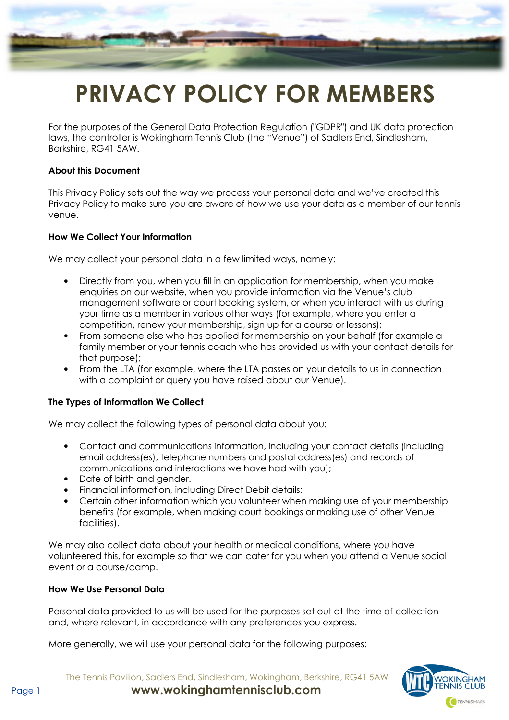

# PRIVACY POLICY FOR MEMBERS

For the purposes of the General Data Protection Regulation ("GDPR") and UK data protection laws, the controller is Wokingham Tennis Club (the "Venue") of Sadlers End, Sindlesham, Berkshire, RG41 5AW.

#### About this Document

This Privacy Policy sets out the way we process your personal data and we've created this Privacy Policy to make sure you are aware of how we use your data as a member of our tennis venue.

#### How We Collect Your Information

We may collect your personal data in a few limited ways, namely:

- Directly from you, when you fill in an application for membership, when you make enquiries on our website, when you provide information via the Venue's club management software or court booking system, or when you interact with us during your time as a member in various other ways (for example, where you enter a competition, renew your membership, sign up for a course or lessons);
- From someone else who has applied for membership on your behalf (for example a family member or your tennis coach who has provided us with your contact details for that purpose);
- From the LTA (for example, where the LTA passes on your details to us in connection with a complaint or query you have raised about our Venue).

### The Types of Information We Collect

We may collect the following types of personal data about you:

- Contact and communications information, including your contact details (including email address(es), telephone numbers and postal address(es) and records of communications and interactions we have had with you);
- Date of birth and gender.
- Financial information, including Direct Debit details;
- Certain other information which you volunteer when making use of your membership benefits (for example, when making court bookings or making use of other Venue facilities).

We may also collect data about your health or medical conditions, where you have volunteered this, for example so that we can cater for you when you attend a Venue social event or a course/camp.

#### How We Use Personal Data

Personal data provided to us will be used for the purposes set out at the time of collection and, where relevant, in accordance with any preferences you express.

More generally, we will use your personal data for the following purposes:

The Tennis Pavilion, Sadlers End, Sindlesham, Wokingham, Berkshire, RG41 5AW Page 1 www.wokinghamtennisclub.com

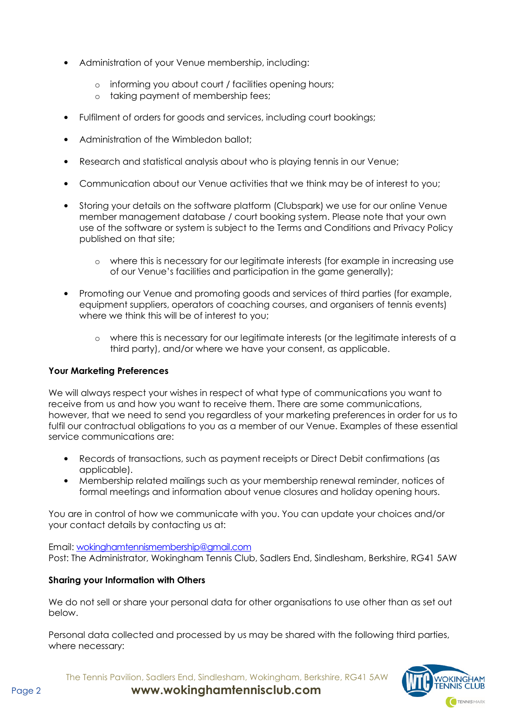- Administration of your Venue membership, including:
	- o informing you about court / facilities opening hours;
	- o taking payment of membership fees;
- Fulfilment of orders for goods and services, including court bookings;
- Administration of the Wimbledon ballot;
- Research and statistical analysis about who is playing tennis in our Venue;
- Communication about our Venue activities that we think may be of interest to you;
- Storing your details on the software platform (Clubspark) we use for our online Venue member management database / court booking system. Please note that your own use of the software or system is subject to the Terms and Conditions and Privacy Policy published on that site;
	- o where this is necessary for our legitimate interests (for example in increasing use of our Venue's facilities and participation in the game generally);
- Promoting our Venue and promoting goods and services of third parties (for example, equipment suppliers, operators of coaching courses, and organisers of tennis events) where we think this will be of interest to you;
	- $\circ$  where this is necessary for our legitimate interests (or the legitimate interests of a third party), and/or where we have your consent, as applicable.

# Your Marketing Preferences

We will always respect your wishes in respect of what type of communications you want to receive from us and how you want to receive them. There are some communications, however, that we need to send you regardless of your marketing preferences in order for us to fulfil our contractual obligations to you as a member of our Venue. Examples of these essential service communications are:

- Records of transactions, such as payment receipts or Direct Debit confirmations (as applicable).
- Membership related mailings such as your membership renewal reminder, notices of formal meetings and information about venue closures and holiday opening hours.

You are in control of how we communicate with you. You can update your choices and/or your contact details by contacting us at:

Email: wokinghamtennismembership@gmail.com Post: The Administrator, Wokingham Tennis Club, Sadlers End, Sindlesham, Berkshire, RG41 5AW

# Sharing your Information with Others

We do not sell or share your personal data for other organisations to use other than as set out below.

Personal data collected and processed by us may be shared with the following third parties, where necessary:



The Tennis Pavilion, Sadlers End, Sindlesham, Wokingham, Berkshire, RG41 5AW

Page 2 **www.wokinghamtennisclub.com**